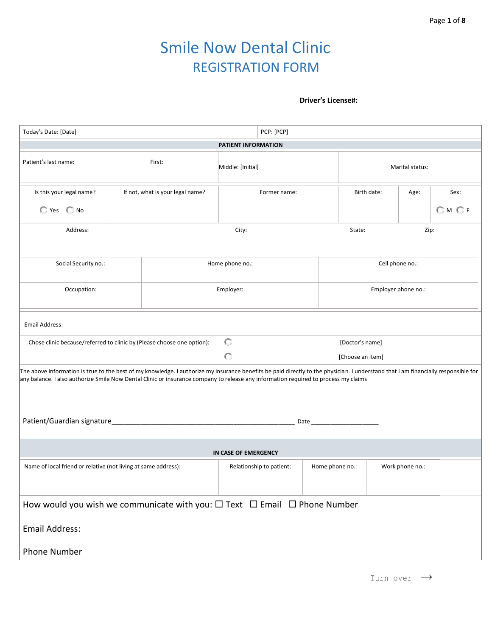# Smile Now Dental Clinic REGISTRATION FORM

#### **Driver's License#:**

| Today's Date: [Date]                                                                                                                                                                                                                                                                                                      | PCP: [PCP] |                                  |                      |              |  |                  |                     |      |  |
|---------------------------------------------------------------------------------------------------------------------------------------------------------------------------------------------------------------------------------------------------------------------------------------------------------------------------|------------|----------------------------------|----------------------|--------------|--|------------------|---------------------|------|--|
| PATIENT INFORMATION                                                                                                                                                                                                                                                                                                       |            |                                  |                      |              |  |                  |                     |      |  |
| Patient's last name:<br>First:                                                                                                                                                                                                                                                                                            |            |                                  | Middle: [Initial]    |              |  |                  | Marital status:     |      |  |
| Is this your legal name?                                                                                                                                                                                                                                                                                                  |            | If not, what is your legal name? |                      | Former name: |  | Birth date:      | Age:                | Sex: |  |
| $\bigcirc$ Yes $\bigcirc$ No                                                                                                                                                                                                                                                                                              |            |                                  |                      |              |  |                  |                     | OMOF |  |
| Address:                                                                                                                                                                                                                                                                                                                  |            |                                  | City:                |              |  | State:           |                     | Zip: |  |
|                                                                                                                                                                                                                                                                                                                           |            |                                  |                      |              |  |                  |                     |      |  |
| Social Security no.:                                                                                                                                                                                                                                                                                                      |            |                                  | Home phone no.:      |              |  |                  | Cell phone no.:     |      |  |
| Occupation:                                                                                                                                                                                                                                                                                                               |            |                                  | Employer:            |              |  |                  | Employer phone no.: |      |  |
| Email Address:                                                                                                                                                                                                                                                                                                            |            |                                  |                      |              |  |                  |                     |      |  |
| Chose clinic because/referred to clinic by (Please choose one option):                                                                                                                                                                                                                                                    |            |                                  | O                    |              |  | [Doctor's name]  |                     |      |  |
|                                                                                                                                                                                                                                                                                                                           |            |                                  | O                    |              |  | [Choose an item] |                     |      |  |
| The above information is true to the best of my knowledge. I authorize my insurance benefits be paid directly to the physician. I understand that I am financially responsible for<br>any balance. I also authorize Smile Now Dental Clinic or insurance company to release any information required to process my claims |            |                                  |                      |              |  |                  |                     |      |  |
|                                                                                                                                                                                                                                                                                                                           |            |                                  |                      |              |  |                  |                     |      |  |
|                                                                                                                                                                                                                                                                                                                           |            |                                  | IN CASE OF EMERGENCY |              |  |                  |                     |      |  |
| Name of local friend or relative (not living at same address):<br>Relationship to patient:<br>Home phone no.:<br>Work phone no.:                                                                                                                                                                                          |            |                                  |                      |              |  |                  |                     |      |  |
| How would you wish we communicate with you: $\Box$ Text $\Box$ Email $\Box$ Phone Number                                                                                                                                                                                                                                  |            |                                  |                      |              |  |                  |                     |      |  |
| <b>Email Address:</b>                                                                                                                                                                                                                                                                                                     |            |                                  |                      |              |  |                  |                     |      |  |
| <b>Phone Number</b>                                                                                                                                                                                                                                                                                                       |            |                                  |                      |              |  |                  |                     |      |  |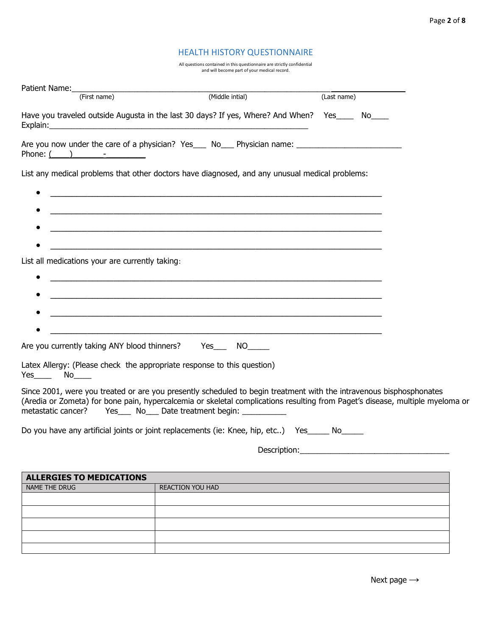#### HEALTH HISTORY QUESTIONNAIRE

All questions contained in this questionnaire are strictly confidential and will become part of your medical record.

| Patient Name:                                   |                                                                                                                                                                                                                                                                                                                            |             |  |
|-------------------------------------------------|----------------------------------------------------------------------------------------------------------------------------------------------------------------------------------------------------------------------------------------------------------------------------------------------------------------------------|-------------|--|
| (First name)                                    | (Middle intial)                                                                                                                                                                                                                                                                                                            | (Last name) |  |
| Explain:                                        | Have you traveled outside Augusta in the last 30 days? If yes, Where? And When? Yes_____ No____<br><u> 1989 - Jan Samuel Barbara, margaret eta idazlea (h. 1989).</u>                                                                                                                                                      |             |  |
| Phone: $($ $)$ $  -$                            | Are you now under the care of a physician? Yes___ No___ Physician name: ____________________________                                                                                                                                                                                                                       |             |  |
|                                                 | List any medical problems that other doctors have diagnosed, and any unusual medical problems:                                                                                                                                                                                                                             |             |  |
|                                                 |                                                                                                                                                                                                                                                                                                                            |             |  |
| List all medications your are currently taking: |                                                                                                                                                                                                                                                                                                                            |             |  |
|                                                 | <u> 1989 - Johann Stoff, amerikansk politiker (d. 1989)</u>                                                                                                                                                                                                                                                                |             |  |
|                                                 | <u> 1989 - Johann Stoff, amerikansk politiker (d. 1989)</u>                                                                                                                                                                                                                                                                |             |  |
|                                                 | Are you currently taking ANY blood thinners? Yes_____ NO_____                                                                                                                                                                                                                                                              |             |  |
| $Yes$ No $N$                                    | Latex Allergy: (Please check the appropriate response to this question)                                                                                                                                                                                                                                                    |             |  |
|                                                 | Since 2001, were you treated or are you presently scheduled to begin treatment with the intravenous bisphosphonates<br>(Aredia or Zometa) for bone pain, hypercalcemia or skeletal complications resulting from Paget's disease, multiple myeloma or<br>metastatic cancer? Yes____ No___ Date treatment begin: ___________ |             |  |
|                                                 | Do you have any artificial joints or joint replacements (ie: Knee, hip, etc) Yes _____ No_____                                                                                                                                                                                                                             |             |  |
|                                                 | Description:                                                                                                                                                                                                                                                                                                               |             |  |
| <b>ALLERGIES TO MEDICATIONS</b>                 |                                                                                                                                                                                                                                                                                                                            |             |  |
| NAME THE DRUG                                   | REACTION YOU HAD                                                                                                                                                                                                                                                                                                           |             |  |
|                                                 |                                                                                                                                                                                                                                                                                                                            |             |  |
|                                                 |                                                                                                                                                                                                                                                                                                                            |             |  |
|                                                 |                                                                                                                                                                                                                                                                                                                            |             |  |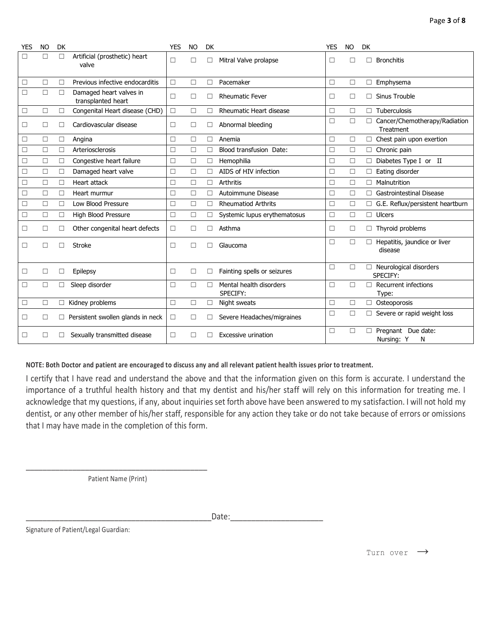| YES    | <b>NO</b> | <b>DK</b> |                                               | <b>YES</b> | <b>NO</b> | <b>DK</b> |                                     | <b>YES</b> | <b>NO</b> | DK                                              |
|--------|-----------|-----------|-----------------------------------------------|------------|-----------|-----------|-------------------------------------|------------|-----------|-------------------------------------------------|
| П      | $\Box$    | П         | Artificial (prosthetic) heart<br>valve        | $\Box$     | П         | П         | Mitral Valve prolapse               | □          | П         | П<br><b>Bronchitis</b>                          |
| □      | $\Box$    | П         | Previous infective endocarditis               | $\Box$     | $\Box$    | П         | Pacemaker                           | □          | П         | Emphysema<br>$\Box$                             |
| □      | $\Box$    | $\Box$    | Damaged heart valves in<br>transplanted heart | П          | $\Box$    | П         | <b>Rheumatic Fever</b>              | □          | П         | Sinus Trouble                                   |
| $\Box$ | $\Box$    | П         | Congenital Heart disease (CHD)                | $\Box$     | $\Box$    | П         | <b>Rheumatic Heart disease</b>      | □          | $\Box$    | Tuberculosis<br>П                               |
| □      | □         |           | Cardiovascular disease                        | □          | □         | □         | Abnormal bleeding                   | □          | $\Box$    | Cancer/Chemotherapy/Radiation<br>П<br>Treatment |
| $\Box$ | $\Box$    | □         | Angina                                        | $\Box$     | П         | П         | Anemia                              | $\Box$     | $\Box$    | Chest pain upon exertion<br>□                   |
| $\Box$ | $\Box$    | П         | Arteriosclerosis                              | □          | $\Box$    | П         | Blood transfusion Date:             | □          | $\Box$    | Chronic pain<br>$\Box$                          |
| $\Box$ | $\Box$    | $\Box$    | Congestive heart failure                      | $\Box$     | $\Box$    | $\Box$    | Hemophilia                          | □          | $\Box$    | Diabetes Type I or II<br>□                      |
| □      | $\Box$    | □         | Damaged heart valve                           | $\Box$     | $\Box$    | П         | AIDS of HIV infection               | □          | $\Box$    | Eating disorder                                 |
| $\Box$ | $\Box$    | $\Box$    | Heart attack                                  | $\Box$     | $\Box$    | $\Box$    | <b>Arthritis</b>                    | □          | $\Box$    | П<br>Malnutrition                               |
| $\Box$ | $\Box$    | □         | Heart murmur                                  | $\Box$     | $\Box$    | □         | Autoimmune Disease                  | □          | $\Box$    | Gastrointestinal Disease<br>П                   |
| □      | $\Box$    | $\Box$    | Low Blood Pressure                            | □          | П         | □         | <b>Rheumatiod Arthrits</b>          | □          | □         | G.E. Reflux/persistent heartburn                |
| $\Box$ | $\Box$    | $\Box$    | High Blood Pressure                           | □          | $\Box$    | □         | Systemic lupus erythematosus        | □          | $\Box$    | Ulcers<br>П                                     |
| □      | □         | П         | Other congenital heart defects                | $\Box$     | П         | П         | Asthma                              | $\Box$     | □         | Thyroid problems<br>□                           |
| □      | П         | П         | <b>Stroke</b>                                 | □          | П         | П         | Glaucoma                            | □          | $\Box$    | Hepatitis, jaundice or liver<br>П<br>disease    |
| □      | $\Box$    | □         | Epilepsy                                      | □          | $\Box$    | $\Box$    | Fainting spells or seizures         | □          | П         | Neurological disorders<br>П<br>SPECIFY:         |
| □      | $\Box$    | П         | Sleep disorder                                | □          | $\Box$    | Г         | Mental health disorders<br>SPECIFY: | □          | П         | Recurrent infections<br>П<br>Type:              |
| □      | $\Box$    | $\Box$    | Kidney problems                               | □          | $\Box$    | □         | Night sweats                        | □          | $\Box$    | Osteoporosis<br>П                               |
| □      | $\Box$    | $\Box$    | Persistent swollen glands in neck             | $\Box$     | П         | □         | Severe Headaches/migraines          | □          | $\Box$    | Severe or rapid weight loss                     |
| $\Box$ | П         |           | Sexually transmitted disease                  | П          |           |           | <b>Excessive urination</b>          | □          | □         | Pregnant Due date:<br>П<br>Nursing: Y<br>N      |

#### **NOTE: Both Doctor and patient are encouraged to discuss any and all relevant patient health issues prior to treatment.**

I certify that I have read and understand the above and that the information given on this form is accurate. I understand the importance of a truthful health history and that my dentist and his/her staff will rely on this information for treating me. I acknowledge that my questions, if any, about inquiries set forth above have been answered to my satisfaction. I will not hold my dentist, or any other member of his/her staff, responsible for any action they take or do not take because of errors or omissions that I may have made in the completion of this form.

\_\_\_\_\_\_\_\_\_\_\_\_\_\_\_\_\_\_\_\_\_\_\_\_\_\_\_\_\_\_\_\_\_\_\_\_\_\_\_\_\_\_\_ Patient Name (Print)

\_\_\_\_\_\_\_\_\_\_\_\_\_\_\_\_\_\_\_\_\_\_\_\_\_\_\_\_\_\_\_\_\_\_\_\_\_\_\_\_\_\_\_\_Date:\_\_\_\_\_\_\_\_\_\_\_\_\_\_\_\_\_\_\_\_\_\_

Signature of Patient/Legal Guardian:

Turn over  $\rightarrow$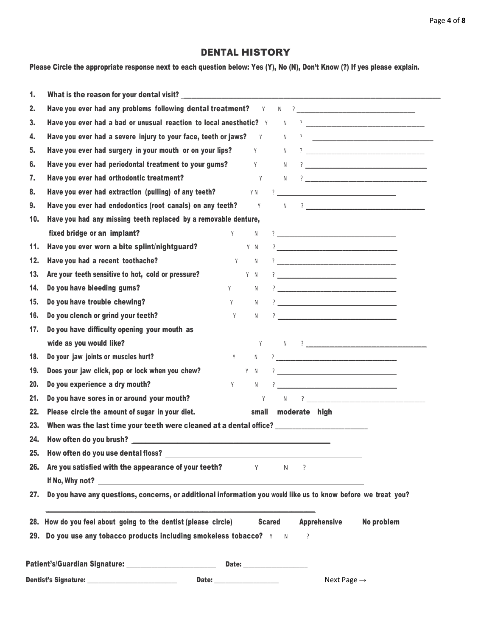# DENTAL HISTORY

Please Circle the appropriate response next to each question below: Yes (Y), No (N), Don't Know (?) If yes please explain.

| 1.  |                                                                                                                                                                                                                               |                                                                                                                                                                                                                                |             |               |   |                         |                                                                                                                                                                                                                                                                                                                                                                     |
|-----|-------------------------------------------------------------------------------------------------------------------------------------------------------------------------------------------------------------------------------|--------------------------------------------------------------------------------------------------------------------------------------------------------------------------------------------------------------------------------|-------------|---------------|---|-------------------------|---------------------------------------------------------------------------------------------------------------------------------------------------------------------------------------------------------------------------------------------------------------------------------------------------------------------------------------------------------------------|
| 2.  | Have you ever had any problems following dental treatment?                                                                                                                                                                    |                                                                                                                                                                                                                                | Y           |               |   |                         | $\begin{picture}(20,10) \put(0,0){\vector(1,0){100}} \put(15,0){\vector(1,0){100}} \put(15,0){\vector(1,0){100}} \put(15,0){\vector(1,0){100}} \put(15,0){\vector(1,0){100}} \put(15,0){\vector(1,0){100}} \put(15,0){\vector(1,0){100}} \put(15,0){\vector(1,0){100}} \put(15,0){\vector(1,0){100}} \put(15,0){\vector(1,0){100}} \put(15,0){\vector(1,0){100}} \$ |
| 3.  | Have you ever had a bad or unusual reaction to local anesthetic? Y                                                                                                                                                            |                                                                                                                                                                                                                                |             | N.            |   |                         |                                                                                                                                                                                                                                                                                                                                                                     |
| 4.  | Have you ever had a severe injury to your face, teeth or jaws?                                                                                                                                                                |                                                                                                                                                                                                                                | Y           | N             |   |                         | $\overline{\phantom{a}7}$                                                                                                                                                                                                                                                                                                                                           |
| 5.  | Have you ever had surgery in your mouth or on your lips?                                                                                                                                                                      |                                                                                                                                                                                                                                | Y           | N             |   |                         |                                                                                                                                                                                                                                                                                                                                                                     |
| 6.  | Have you ever had periodontal treatment to your gums?                                                                                                                                                                         |                                                                                                                                                                                                                                | Y           | N             |   |                         |                                                                                                                                                                                                                                                                                                                                                                     |
| 7.  | Have you ever had orthodontic treatment?                                                                                                                                                                                      |                                                                                                                                                                                                                                | Y           |               |   |                         |                                                                                                                                                                                                                                                                                                                                                                     |
| 8.  | Have you ever had extraction (pulling) of any teeth?                                                                                                                                                                          |                                                                                                                                                                                                                                | Y N         |               |   |                         |                                                                                                                                                                                                                                                                                                                                                                     |
| 9.  | Have you ever had endodontics (root canals) on any teeth?                                                                                                                                                                     |                                                                                                                                                                                                                                | Y           |               |   |                         |                                                                                                                                                                                                                                                                                                                                                                     |
| 10. | Have you had any missing teeth replaced by a removable denture,                                                                                                                                                               |                                                                                                                                                                                                                                |             |               |   |                         |                                                                                                                                                                                                                                                                                                                                                                     |
|     | fixed bridge or an implant?                                                                                                                                                                                                   | Y                                                                                                                                                                                                                              | $\mathbb N$ |               |   |                         |                                                                                                                                                                                                                                                                                                                                                                     |
| 11. | Have you ever worn a bite splint/nightguard?                                                                                                                                                                                  |                                                                                                                                                                                                                                | Y N         |               |   |                         |                                                                                                                                                                                                                                                                                                                                                                     |
| 12. | Have you had a recent toothache?                                                                                                                                                                                              | Y                                                                                                                                                                                                                              | N           |               |   |                         |                                                                                                                                                                                                                                                                                                                                                                     |
| 13. | Are your teeth sensitive to hot, cold or pressure?                                                                                                                                                                            |                                                                                                                                                                                                                                | Y N         |               |   |                         | $\frac{1}{2}$                                                                                                                                                                                                                                                                                                                                                       |
| 14. | Do you have bleeding gums?                                                                                                                                                                                                    | Y and the set of the set of the set of the set of the set of the set of the set of the set of the set of the set of the set of the set of the set of the set of the set of the set of the set of the set of the set of the set | N           |               |   |                         | $\frac{1}{2}$                                                                                                                                                                                                                                                                                                                                                       |
| 15. | Do you have trouble chewing?                                                                                                                                                                                                  | Y                                                                                                                                                                                                                              | N           |               |   |                         | $\overline{\phantom{a}7}$ . The contract of the contract of the contract of the contract of the contract of the contract of the contract of the contract of the contract of the contract of the contract of the contract of the contract                                                                                                                            |
| 16. | Do you clench or grind your teeth?                                                                                                                                                                                            | Y                                                                                                                                                                                                                              | N           |               |   |                         | $\overline{\phantom{a}7}$ . The contract of the contract of the contract of the contract of the contract of the contract of the contract of the contract of the contract of the contract of the contract of the contract of the contract                                                                                                                            |
| 17. | Do you have difficulty opening your mouth as                                                                                                                                                                                  |                                                                                                                                                                                                                                |             |               |   |                         |                                                                                                                                                                                                                                                                                                                                                                     |
|     | wide as you would like?                                                                                                                                                                                                       |                                                                                                                                                                                                                                |             |               |   |                         | $Y \t N \t ?$                                                                                                                                                                                                                                                                                                                                                       |
| 18. | Do your jaw joints or muscles hurt?                                                                                                                                                                                           | Y                                                                                                                                                                                                                              |             |               |   |                         | $\begin{picture}(20,10) \put(0,0){\vector(1,0){100}} \put(15,0){\vector(1,0){100}} \put(15,0){\vector(1,0){100}} \put(15,0){\vector(1,0){100}} \put(15,0){\vector(1,0){100}} \put(15,0){\vector(1,0){100}} \put(15,0){\vector(1,0){100}} \put(15,0){\vector(1,0){100}} \put(15,0){\vector(1,0){100}} \put(15,0){\vector(1,0){100}} \put(15,0){\vector(1,0){100}} \$ |
| 19. | Does your jaw click, pop or lock when you chew?                                                                                                                                                                               |                                                                                                                                                                                                                                | Y N         |               |   |                         | $\frac{1}{2}$                                                                                                                                                                                                                                                                                                                                                       |
| 20. | Do you experience a dry mouth?                                                                                                                                                                                                | Y                                                                                                                                                                                                                              | N           |               |   |                         | $\frac{1}{2}$                                                                                                                                                                                                                                                                                                                                                       |
| 21. | Do you have sores in or around your mouth?                                                                                                                                                                                    |                                                                                                                                                                                                                                |             |               |   |                         | $Y \qquad N \qquad ? \qquad \qquad \qquad \qquad$                                                                                                                                                                                                                                                                                                                   |
| 22. | Please circle the amount of sugar in your diet.                                                                                                                                                                               |                                                                                                                                                                                                                                |             |               |   | small moderate high     |                                                                                                                                                                                                                                                                                                                                                                     |
| 23. | When was the last time your teeth were cleaned at a dental office?                                                                                                                                                            |                                                                                                                                                                                                                                |             |               |   |                         |                                                                                                                                                                                                                                                                                                                                                                     |
| 24. |                                                                                                                                                                                                                               |                                                                                                                                                                                                                                |             |               |   |                         |                                                                                                                                                                                                                                                                                                                                                                     |
|     |                                                                                                                                                                                                                               |                                                                                                                                                                                                                                |             |               |   |                         |                                                                                                                                                                                                                                                                                                                                                                     |
| 26. | Are you satisfied with the appearance of your teeth? $\gamma$ $\gamma$ $\gamma$                                                                                                                                               |                                                                                                                                                                                                                                |             |               |   |                         |                                                                                                                                                                                                                                                                                                                                                                     |
|     |                                                                                                                                                                                                                               |                                                                                                                                                                                                                                |             |               |   |                         |                                                                                                                                                                                                                                                                                                                                                                     |
| 27. | Do you have any questions, concerns, or additional information you would like us to know before we treat you?                                                                                                                 |                                                                                                                                                                                                                                |             |               |   |                         |                                                                                                                                                                                                                                                                                                                                                                     |
|     | 28. How do you feel about going to the dentist (please circle)                                                                                                                                                                |                                                                                                                                                                                                                                |             | <b>Scared</b> |   | <b>Apprehensive</b>     | No problem                                                                                                                                                                                                                                                                                                                                                          |
|     | 29. Do you use any tobacco products including smokeless tobacco? $Y = N$                                                                                                                                                      |                                                                                                                                                                                                                                |             |               | ? |                         |                                                                                                                                                                                                                                                                                                                                                                     |
|     | Patient's/Guardian Signature: _____________________________                                                                                                                                                                   |                                                                                                                                                                                                                                |             |               |   |                         |                                                                                                                                                                                                                                                                                                                                                                     |
|     | Date: and the contract of the contract of the contract of the contract of the contract of the contract of the contract of the contract of the contract of the contract of the contract of the contract of the contract of the |                                                                                                                                                                                                                                |             |               |   | Next Page $\rightarrow$ |                                                                                                                                                                                                                                                                                                                                                                     |
|     |                                                                                                                                                                                                                               |                                                                                                                                                                                                                                |             |               |   |                         |                                                                                                                                                                                                                                                                                                                                                                     |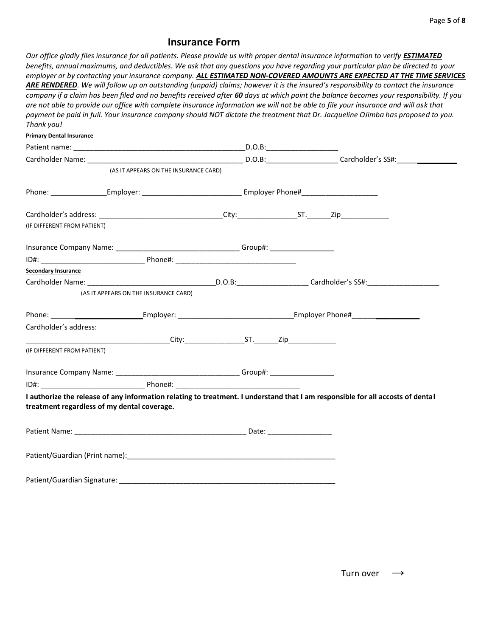# **Insurance Form**

*Our office gladly files insurance for all patients. Please provide us with proper dental insurance information to verify <i>ESTIMATED benefits, annual maximums, and deductibles. We ask that any questions you have regarding your particular plan be directed to your employer or by contacting your insurance company. ALL ESTIMATED NON-COVERED AMOUNTS ARE EXPECTED AT THE TIME SERVICES ARE RENDERED. We will follow up on outstanding (unpaid) claims; however it is the insured's responsibility to contact the insurance company if a claim has been filed and no benefits received after 60 days at which point the balance becomes your responsibility. If you are not able to provide our office with complete insurance information we will not be able to file your insurance and will ask that payment be paid in full. Your insurance company should NOT dictate the treatment that Dr. Jacqueline OJimba has proposed to you. Thank you!*

| <b>Primary Dental Insurance</b> |                                                                                  |  |                                                                                                                                |
|---------------------------------|----------------------------------------------------------------------------------|--|--------------------------------------------------------------------------------------------------------------------------------|
|                                 |                                                                                  |  |                                                                                                                                |
|                                 |                                                                                  |  |                                                                                                                                |
|                                 | (AS IT APPEARS ON THE INSURANCE CARD)                                            |  |                                                                                                                                |
|                                 |                                                                                  |  |                                                                                                                                |
|                                 |                                                                                  |  |                                                                                                                                |
| (IF DIFFERENT FROM PATIENT)     |                                                                                  |  |                                                                                                                                |
|                                 | Insurance Company Name: ________________________________Group#: ________________ |  |                                                                                                                                |
|                                 |                                                                                  |  |                                                                                                                                |
| <b>Secondary Insurance</b>      |                                                                                  |  |                                                                                                                                |
|                                 |                                                                                  |  |                                                                                                                                |
|                                 | (AS IT APPEARS ON THE INSURANCE CARD)                                            |  |                                                                                                                                |
|                                 |                                                                                  |  |                                                                                                                                |
| Cardholder's address:           |                                                                                  |  |                                                                                                                                |
|                                 | <b>City:</b> City: ST. Zip                                                       |  |                                                                                                                                |
| (IF DIFFERENT FROM PATIENT)     |                                                                                  |  |                                                                                                                                |
|                                 | Insurance Company Name: __________________________________Group#: ______________ |  |                                                                                                                                |
|                                 |                                                                                  |  |                                                                                                                                |
|                                 | treatment regardless of my dental coverage.                                      |  | I authorize the release of any information relating to treatment. I understand that I am responsible for all accosts of dental |
|                                 |                                                                                  |  |                                                                                                                                |
|                                 |                                                                                  |  |                                                                                                                                |

Patient/Guardian Signature: \_\_\_\_\_\_\_\_\_\_\_\_\_\_\_\_\_\_\_\_\_\_\_\_\_\_\_\_\_\_\_\_\_\_\_\_\_\_\_\_\_\_\_\_\_\_\_\_\_\_\_\_\_\_

Turn over  $\rightarrow$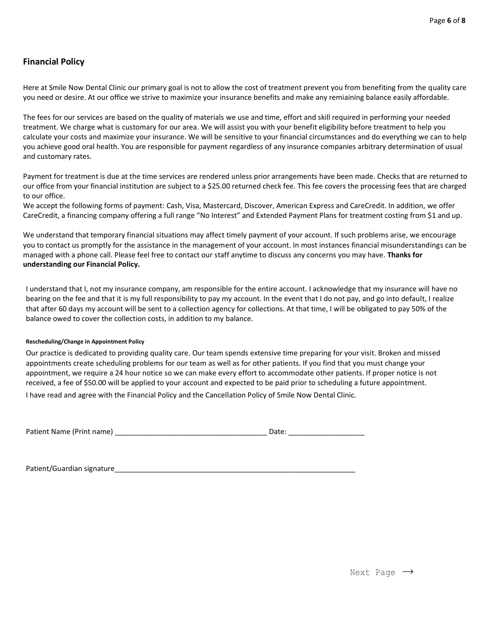### **Financial Policy**

Here at Smile Now Dental Clinic our primary goal is not to allow the cost of treatment prevent you from benefiting from the quality care you need or desire. At our office we strive to maximize your insurance benefits and make any remiaining balance easily affordable.

The fees for our services are based on the quality of materials we use and time, effort and skill required in performing your needed treatment. We charge what is customary for our area. We will assist you with your benefit eligibility before treatment to help you calculate your costs and maximize your insurance. We will be sensitive to your financial circumstances and do everything we can to help you achieve good oral health. You are responsible for payment regardless of any insurance companies arbitrary determination of usual and customary rates.

Payment for treatment is due at the time services are rendered unless prior arrangements have been made. Checks that are returned to our office from your financial institution are subject to a \$25.00 returned check fee. This fee covers the processing fees that are charged to our office.

We accept the following forms of payment: Cash, Visa, Mastercard, Discover, American Express and CareCredit. In addition, we offer CareCredit, a financing company offering a full range "No Interest" and Extended Payment Plans for treatment costing from \$1 and up.

We understand that temporary financial situations may affect timely payment of your account. If such problems arise, we encourage you to contact us promptly for the assistance in the management of your account. In most instances financial misunderstandings can be managed with a phone call. Please feel free to contact our staff anytime to discuss any concerns you may have. **Thanks for understanding our Financial Policy.**

I understand that I, not my insurance company, am responsible for the entire account. I acknowledge that my insurance will have no bearing on the fee and that it is my full responsibility to pay my account. In the event that I do not pay, and go into default, I realize that after 60 days my account will be sent to a collection agency for collections. At that time, I will be obligated to pay 50% of the balance owed to cover the collection costs, in addition to my balance.

#### **Rescheduling/Change in Appointment Policy**

Our practice is dedicated to providing quality care. Our team spends extensive time preparing for your visit. Broken and missed appointments create scheduling problems for our team as well as for other patients. If you find that you must change your appointment, we require a 24 hour notice so we can make every effort to accommodate other patients. If proper notice is not received, a fee of \$50.00 will be applied to your account and expected to be paid prior to scheduling a future appointment. I have read and agree with the Financial Policy and the Cancellation Policy of Smile Now Dental Clinic.

Patient Name (Print name) \_\_\_\_\_\_\_\_\_\_\_\_\_\_\_\_\_\_\_\_\_\_\_\_\_\_\_\_\_\_\_\_\_\_\_\_\_\_ Date: \_\_\_\_\_\_\_\_\_\_\_\_\_\_\_\_\_\_\_

Patient/Guardian signature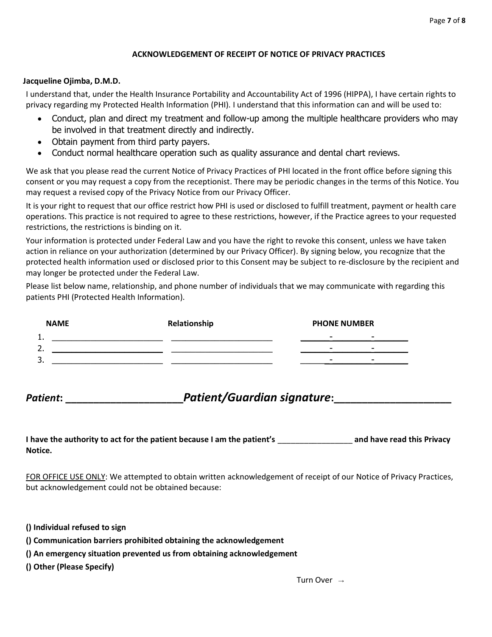#### **ACKNOWLEDGEMENT OF RECEIPT OF NOTICE OF PRIVACY PRACTICES**

#### **Jacqueline Ojimba, D.M.D.**

I understand that, under the Health Insurance Portability and Accountability Act of 1996 (HIPPA), I have certain rights to privacy regarding my Protected Health Information (PHI). I understand that this information can and will be used to:

- Conduct, plan and direct my treatment and follow-up among the multiple healthcare providers who may be involved in that treatment directly and indirectly.
- Obtain payment from third party payers.
- Conduct normal healthcare operation such as quality assurance and dental chart reviews.

We ask that you please read the current Notice of Privacy Practices of PHI located in the front office before signing this consent or you may request a copy from the receptionist. There may be periodic changes in the terms of this Notice. You may request a revised copy of the Privacy Notice from our Privacy Officer.

It is your right to request that our office restrict how PHI is used or disclosed to fulfill treatment, payment or health care operations. This practice is not required to agree to these restrictions, however, if the Practice agrees to your requested restrictions, the restrictions is binding on it.

Your information is protected under Federal Law and you have the right to revoke this consent, unless we have taken action in reliance on your authorization (determined by our Privacy Officer). By signing below, you recognize that the protected health information used or disclosed prior to this Consent may be subject to re-disclosure by the recipient and may longer be protected under the Federal Law.

Please list below name, relationship, and phone number of individuals that we may communicate with regarding this patients PHI (Protected Health Information).

| <b>NAME</b> | Relationship | <b>PHONE NUMBER</b>                                  |
|-------------|--------------|------------------------------------------------------|
| . .         |              | $\overline{\phantom{0}}$<br>$\overline{\phantom{a}}$ |
|             |              | $\overline{\phantom{a}}$<br>-                        |
| ، ب         |              | $\overline{\phantom{0}}$<br>-                        |

Patient: entimated the *Patient/Guardian signature*:

**I have the authority to act for the patient because I am the patient's** \_\_\_\_\_\_\_\_\_\_\_\_\_\_\_\_\_ **and have read this Privacy Notice.**

FOR OFFICE USE ONLY: We attempted to obtain written acknowledgement of receipt of our Notice of Privacy Practices, but acknowledgement could not be obtained because:

**() Individual refused to sign**

- **() Communication barriers prohibited obtaining the acknowledgement**
- **() An emergency situation prevented us from obtaining acknowledgement**

**() Other (Please Specify)**